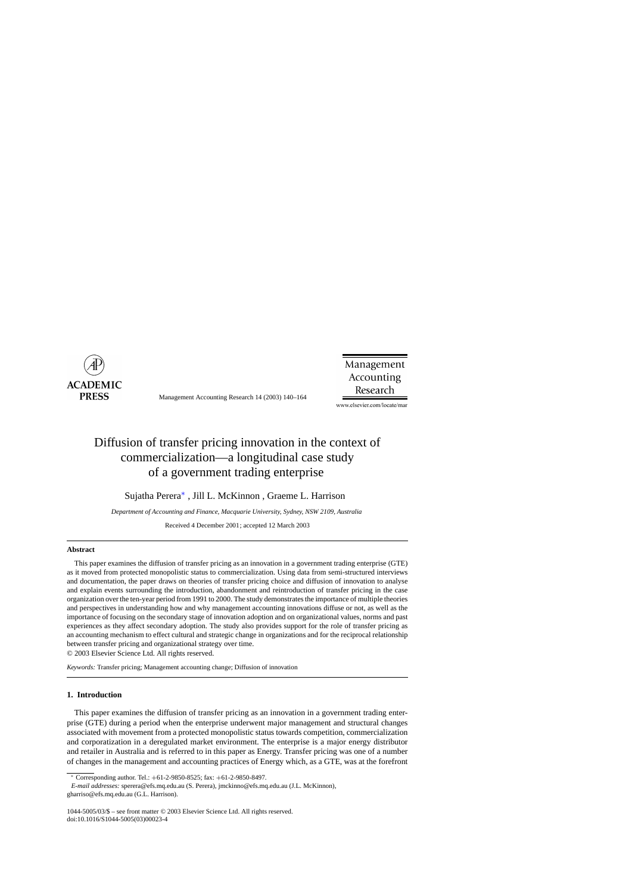

Management Accounting Research 14 (2003) 140–164

Management Accounting Research

www.elsevier.com/locate/mar

## Diffusion of transfer pricing innovation in the context of commercialization—a longitudinal case study of a government trading enterprise

Sujatha Perera∗ , Jill L. McKinnon , Graeme L. Harrison

*Department of Accounting and Finance, Macquarie University, Sydney, NSW 2109, Australia*

Received 4 December 2001; accepted 12 March 2003

## **Abstract**

This paper examines the diffusion of transfer pricing as an innovation in a government trading enterprise (GTE) as it moved from protected monopolistic status to commercialization. Using data from semi-structured interviews and documentation, the paper draws on theories of transfer pricing choice and diffusion of innovation to analyse and explain events surrounding the introduction, abandonment and reintroduction of transfer pricing in the case organization over the ten-year period from 1991 to 2000. The study demonstrates the importance of multiple theories and perspectives in understanding how and why management accounting innovations diffuse or not, as well as the importance of focusing on the secondary stage of innovation adoption and on organizational values, norms and past experiences as they affect secondary adoption. The study also provides support for the role of transfer pricing as an accounting mechanism to effect cultural and strategic change in organizations and for the reciprocal relationship between transfer pricing and organizational strategy over time.

© 2003 Elsevier Science Ltd. All rights reserved.

*Keywords:* Transfer pricing; Management accounting change; Diffusion of innovation

## **1. Introduction**

This paper examines the diffusion of transfer pricing as an innovation in a government trading enterprise (GTE) during a period when the enterprise underwent major management and structural changes associated with movement from a protected monopolistic status towards competition, commercialization and corporatization in a deregulated market environment. The enterprise is a major energy distributor and retailer in Australia and is referred to in this paper as Energy. Transfer pricing was one of a number of changes in the management and accounting practices of Energy which, as a GTE, was at the forefront

<sup>∗</sup> Corresponding author. Tel.: +61-2-9850-8525; fax: +61-2-9850-8497.

*E-mail addresses:* sperera@efs.mq.edu.au (S. Perera), jmckinno@efs.mq.edu.au (J.L. McKinnon), gharriso@efs.mq.edu.au (G.L. Harrison).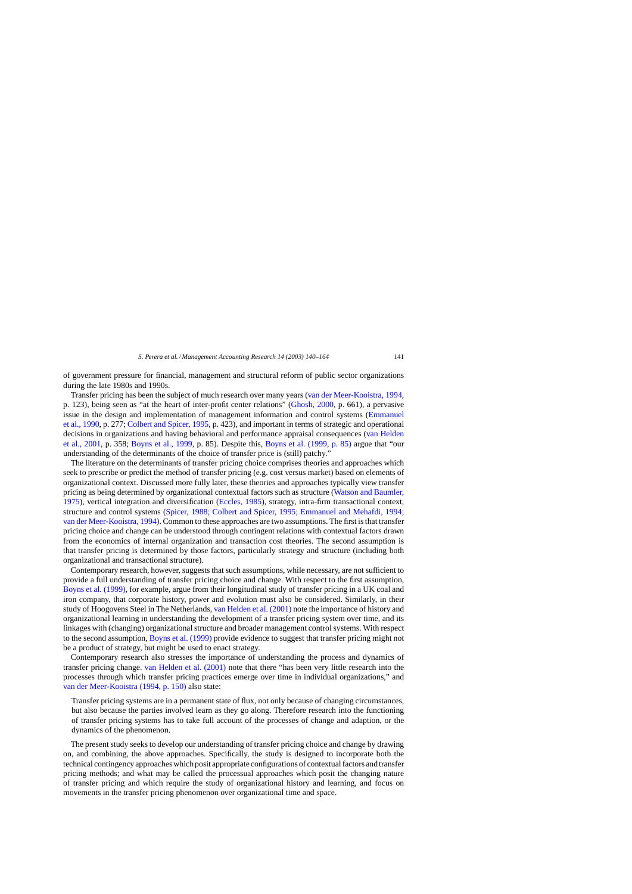of government pressure for financial, management and structural reform of public sector organizations during the late 1980s and 1990s.

Transfer pricing has been the subject of much research over many years [\(van der Meer-Kooistra, 1994,](#page--1-0) p. 123), being seen as "at the heart of inter-profit center relations" ([Ghosh, 2000,](#page--1-0) p. 661), a pervasive issue in the design and implementation of management information and control systems [\(Emmanuel](#page--1-0) [et al., 1990, p](#page--1-0). 277; [Colbert and Spicer, 1995, p](#page--1-0). 423), and important in terms of strategic and operational decisions in organizations and having behavioral and performance appraisal consequences [\(van Helden](#page--1-0) [et al., 2001,](#page--1-0) p. 358; [Boyns et al., 1999,](#page--1-0) p. 85). Despite this, [Boyns et al. \(1999, p. 85\)](#page--1-0) argue that "our understanding of the determinants of the choice of transfer price is (still) patchy."

The literature on the determinants of transfer pricing choice comprises theories and approaches which seek to prescribe or predict the method of transfer pricing (e.g. cost versus market) based on elements of organizational context. Discussed more fully later, these theories and approaches typically view transfer pricing as being determined by organizational contextual factors such as structure [\(Watson and Baumler,](#page--1-0) [1975\),](#page--1-0) vertical integration and diversification ([Eccles, 1985\),](#page--1-0) strategy, intra-firm transactional context, structure and control systems [\(Spicer, 1988; Colbert and Spicer, 1995; Emmanuel and Mehafdi, 1994;](#page--1-0) [van der Meer-Kooistra, 1994\).](#page--1-0) Common to these approaches are two assumptions. The first is that transfer pricing choice and change can be understood through contingent relations with contextual factors drawn from the economics of internal organization and transaction cost theories. The second assumption is that transfer pricing is determined by those factors, particularly strategy and structure (including both organizational and transactional structure).

Contemporary research, however, suggests that such assumptions, while necessary, are not sufficient to provide a full understanding of transfer pricing choice and change. With respect to the first assumption, [Boyns et al. \(1999\), f](#page--1-0)or example, argue from their longitudinal study of transfer pricing in a UK coal and iron company, that corporate history, power and evolution must also be considered. Similarly, in their study of Hoogovens Steel in The Netherlands, [van Helden et al. \(2001\)](#page--1-0) note the importance of history and organizational learning in understanding the development of a transfer pricing system over time, and its linkages with (changing) organizational structure and broader management control systems. With respect to the second assumption, [Boyns et al. \(1999\)](#page--1-0) provide evidence to suggest that transfer pricing might not be a product of strategy, but might be used to enact strategy.

Contemporary research also stresses the importance of understanding the process and dynamics of transfer pricing change. [van Helden et al. \(2001\)](#page--1-0) note that there "has been very little research into the processes through which transfer pricing practices emerge over time in individual organizations," and [van der Meer-Kooistra \(1994, p. 150\)](#page--1-0) also state:

Transfer pricing systems are in a permanent state of flux, not only because of changing circumstances, but also because the parties involved learn as they go along. Therefore research into the functioning of transfer pricing systems has to take full account of the processes of change and adaption, or the dynamics of the phenomenon.

The present study seeks to develop our understanding of transfer pricing choice and change by drawing on, and combining, the above approaches. Specifically, the study is designed to incorporate both the technical contingency approaches which posit appropriate configurations of contextual factors and transfer pricing methods; and what may be called the processual approaches which posit the changing nature of transfer pricing and which require the study of organizational history and learning, and focus on movements in the transfer pricing phenomenon over organizational time and space.